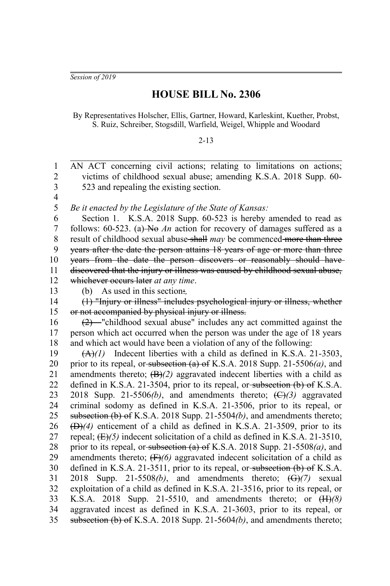*Session of 2019*

## **HOUSE BILL No. 2306**

By Representatives Holscher, Ellis, Gartner, Howard, Karleskint, Kuether, Probst, S. Ruiz, Schreiber, Stogsdill, Warfield, Weigel, Whipple and Woodard

## 2-13

AN ACT concerning civil actions; relating to limitations on actions; victims of childhood sexual abuse; amending K.S.A. 2018 Supp. 60- 523 and repealing the existing section. *Be it enacted by the Legislature of the State of Kansas:* Section 1. K.S.A. 2018 Supp. 60-523 is hereby amended to read as follows:  $60-523$ . (a) No An action for recovery of damages suffered as a result of childhood sexual abuse shall *may* be commenced more than three years after the date the person attains 18 years of age or more than three years from the date the person discovers or reasonably should have discovered that the injury or illness was caused by childhood sexual abuse, whichever occurs later *at any time*. (b) As used in this section:*,* (1) "Injury or illness" includes psychological injury or illness, whether or not accompanied by physical injury or illness. (2) "childhood sexual abuse" includes any act committed against the person which act occurred when the person was under the age of 18 years and which act would have been a violation of any of the following:  $(A)(1)$  Indecent liberties with a child as defined in K.S.A. 21-3503, prior to its repeal, or subsection (a) of K.S.A. 2018 Supp. 21-5506*(a)*, and amendments thereto;  $(B)/2$ ) aggravated indecent liberties with a child as defined in K.S.A. 21-3504, prior to its repeal, or subsection (b) of K.S.A. 2018 Supp. 21-5506(b), and amendments thereto;  $(\bigoplus)(3)$  aggravated criminal sodomy as defined in K.S.A. 21-3506, prior to its repeal, or subsection (b) of K.S.A. 2018 Supp. 21-5504*(b)*, and amendments thereto; (D)*(4)* enticement of a child as defined in K.S.A. 21-3509, prior to its repeal;  $(E)/5$ ) indecent solicitation of a child as defined in K.S.A. 21-3510, prior to its repeal, or subsection (a) of K.S.A. 2018 Supp. 21-5508*(a)*, and amendments thereto; (F)*(6)* aggravated indecent solicitation of a child as defined in K.S.A. 21-3511, prior to its repeal, or subsection  $(b)$  of K.S.A. 2018 Supp. 21-5508*(b)*, and amendments thereto; (G)*(7)* sexual exploitation of a child as defined in K.S.A. 21-3516, prior to its repeal, or K.S.A. 2018 Supp. 21-5510, and amendments thereto; or (H)*(8)* aggravated incest as defined in K.S.A. 21-3603, prior to its repeal, or subsection (b) of K.S.A. 2018 Supp. 21-5604*(b)*, and amendments thereto; 1 2 3 4 5 6 7 8 9 10 11 12 13 14 15 16 17 18 19 20 21 22 23 24 25 26 27 28 29 30 31 32 33 34 35